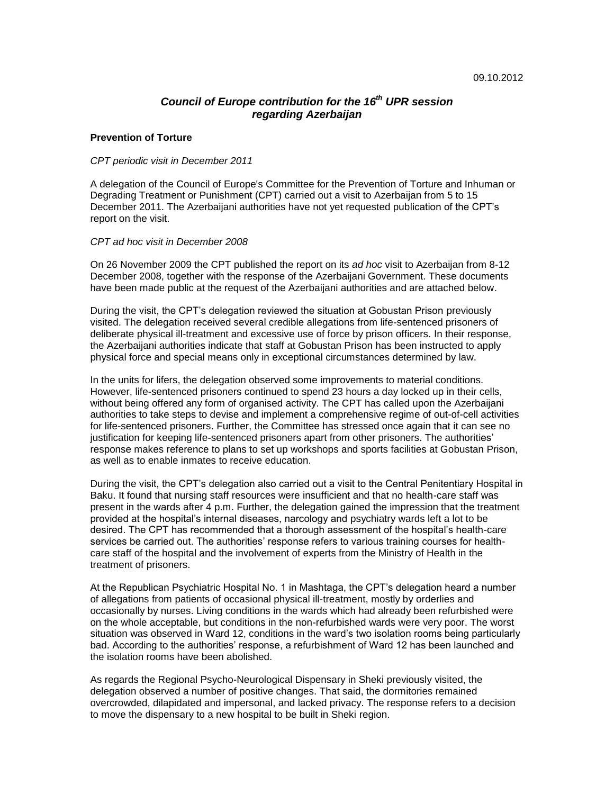# *Council of Europe contribution for the 16th UPR session regarding Azerbaijan*

### **Prevention of Torture**

#### *CPT periodic visit in December 2011*

A delegation of the Council of Europe's Committee for the Prevention of Torture and Inhuman or Degrading Treatment or Punishment (CPT) carried out a visit to Azerbaijan from 5 to 15 December 2011. The Azerbaijani authorities have not yet requested publication of the CPT"s report on the visit.

### *CPT ad hoc visit in December 2008*

On 26 November 2009 the CPT published the report on its *ad hoc* visit to Azerbaijan from 8-12 December 2008, together with the response of the Azerbaijani Government. These documents have been made public at the request of the Azerbaijani authorities and are attached below.

During the visit, the CPT"s delegation reviewed the situation at Gobustan Prison previously visited. The delegation received several credible allegations from life-sentenced prisoners of deliberate physical ill-treatment and excessive use of force by prison officers. In their response, the Azerbaijani authorities indicate that staff at Gobustan Prison has been instructed to apply physical force and special means only in exceptional circumstances determined by law.

In the units for lifers, the delegation observed some improvements to material conditions. However, life-sentenced prisoners continued to spend 23 hours a day locked up in their cells, without being offered any form of organised activity. The CPT has called upon the Azerbaijani authorities to take steps to devise and implement a comprehensive regime of out-of-cell activities for life-sentenced prisoners. Further, the Committee has stressed once again that it can see no justification for keeping life-sentenced prisoners apart from other prisoners. The authorities" response makes reference to plans to set up workshops and sports facilities at Gobustan Prison, as well as to enable inmates to receive education.

During the visit, the CPT"s delegation also carried out a visit to the Central Penitentiary Hospital in Baku. It found that nursing staff resources were insufficient and that no health-care staff was present in the wards after 4 p.m. Further, the delegation gained the impression that the treatment provided at the hospital"s internal diseases, narcology and psychiatry wards left a lot to be desired. The CPT has recommended that a thorough assessment of the hospital"s health-care services be carried out. The authorities' response refers to various training courses for healthcare staff of the hospital and the involvement of experts from the Ministry of Health in the treatment of prisoners.

At the Republican Psychiatric Hospital No. 1 in Mashtaga, the CPT"s delegation heard a number of allegations from patients of occasional physical ill-treatment, mostly by orderlies and occasionally by nurses. Living conditions in the wards which had already been refurbished were on the whole acceptable, but conditions in the non-refurbished wards were very poor. The worst situation was observed in Ward 12, conditions in the ward"s two isolation rooms being particularly bad. According to the authorities" response, a refurbishment of Ward 12 has been launched and the isolation rooms have been abolished.

As regards the Regional Psycho-Neurological Dispensary in Sheki previously visited, the delegation observed a number of positive changes. That said, the dormitories remained overcrowded, dilapidated and impersonal, and lacked privacy. The response refers to a decision to move the dispensary to a new hospital to be built in Sheki region.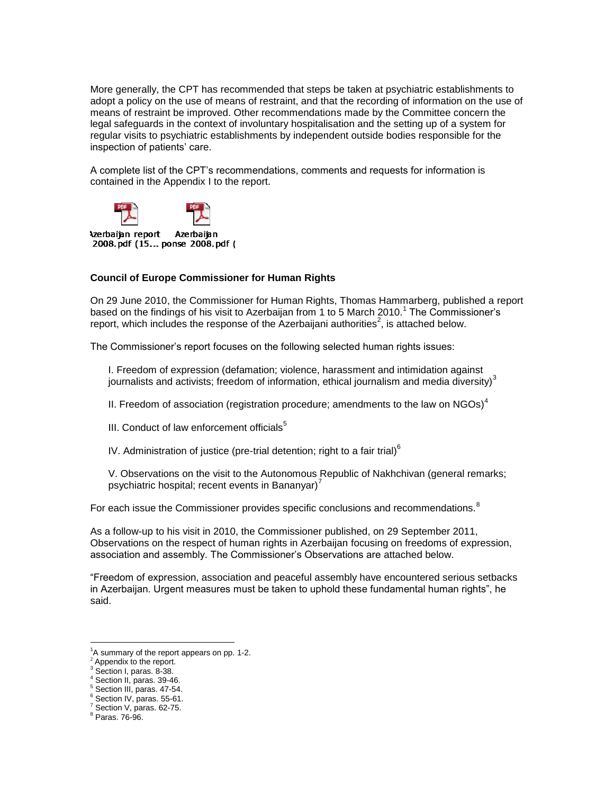More generally, the CPT has recommended that steps be taken at psychiatric establishments to adopt a policy on the use of means of restraint, and that the recording of information on the use of means of restraint be improved. Other recommendations made by the Committee concern the legal safeguards in the context of involuntary hospitalisation and the setting up of a system for regular visits to psychiatric establishments by independent outside bodies responsible for the inspection of patients' care.

A complete list of the CPT"s recommendations, comments and requests for information is contained in the Appendix I to the report.



Azerbainn report Azerbainn 2008.pdf (15... ponse 2008.pdf (

## **Council of Europe Commissioner for Human Rights**

On 29 June 2010, the Commissioner for Human Rights, Thomas Hammarberg, published a [report](https://wcd.coe.int/ViewDoc.jsp?id=1909623) based on the findings of his visit to Azerbaijan from 1 to 5 March 2010.<sup>1</sup> The Commissioner's report, which includes the response of the Azerbaijani authorities<sup>2</sup>, is attached below.

The Commissioner"s report focuses on the following selected human rights issues:

I. Freedom of expression (defamation; violence, harassment and intimidation against journalists and activists; freedom of information, ethical journalism and media diversity) $3$ 

II. Freedom of association (registration procedure; amendments to the law on  $NGOs)^4$ 

III. Conduct of law enforcement officials $<sup>5</sup>$ </sup>

IV. Administration of justice (pre-trial detention; right to a fair trial) $<sup>6</sup>$ </sup>

V. Observations on the visit to the Autonomous Republic of Nakhchivan (general remarks; psychiatric hospital; recent events in Bananyar) $<sup>7</sup>$ </sup>

For each issue the Commissioner provides specific conclusions and recommendations.<sup>8</sup>

As a follow-up to his visit in 2010, the Commissioner published, on 29 September 2011, Observations on the respect of human rights in Azerbaijan focusing on freedoms of expression, association and assembly. The Commissioner"s Observations are attached below.

"Freedom of expression, association and peaceful assembly have encountered serious setbacks in Azerbaijan. Urgent measures must be taken to uphold these fundamental human rights", he said.

 $\overline{a}$ 

<sup>&</sup>lt;sup>1</sup>A summary of the report appears on pp. 1-2.

Appendix to the report.

<sup>&</sup>lt;sup>3</sup> Section I, paras. 8-38.

<sup>4</sup> Section II, paras. 39-46.

 $\frac{5}{3}$  Section III, paras. 47-54.

<sup>6</sup> Section IV, paras. 55-61. <sup>7</sup> Section V, paras. 62-75.

<sup>8</sup> Paras. 76-96.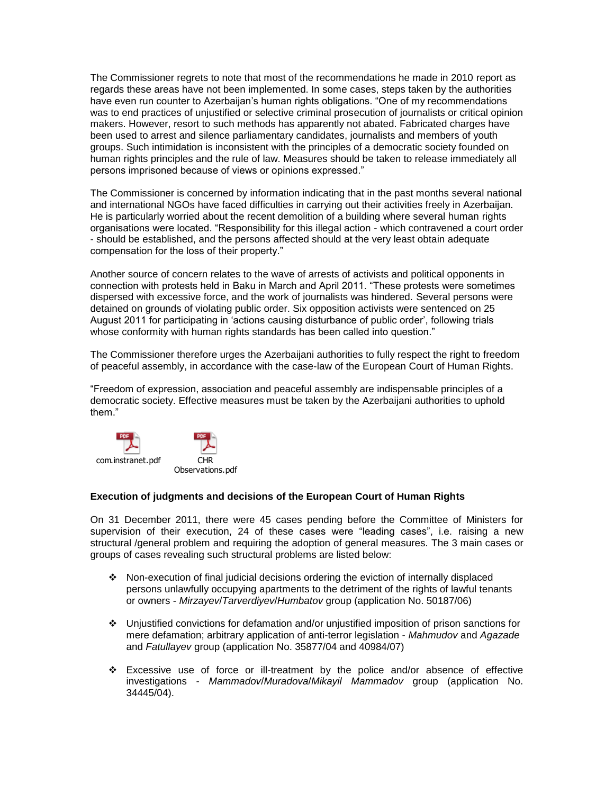The Commissioner regrets to note that most of the recommendations he made in 2010 report as regards these areas have not been implemented. In some cases, steps taken by the authorities have even run counter to Azerbaijan"s human rights obligations. "One of my recommendations was to end practices of unjustified or selective criminal prosecution of journalists or critical opinion makers. However, resort to such methods has apparently not abated. Fabricated charges have been used to arrest and silence parliamentary candidates, journalists and members of youth groups. Such intimidation is inconsistent with the principles of a democratic society founded on human rights principles and the rule of law. Measures should be taken to release immediately all persons imprisoned because of views or opinions expressed."

The Commissioner is concerned by information indicating that in the past months several national and international NGOs have faced difficulties in carrying out their activities freely in Azerbaijan. He is particularly worried about the recent demolition of a building where several human rights organisations were located. "Responsibility for this illegal action - which contravened a court order - should be established, and the persons affected should at the very least obtain adequate compensation for the loss of their property."

Another source of concern relates to the wave of arrests of activists and political opponents in connection with protests held in Baku in March and April 2011. "These protests were sometimes dispersed with excessive force, and the work of journalists was hindered. Several persons were detained on grounds of violating public order. Six opposition activists were sentenced on 25 August 2011 for participating in "actions causing disturbance of public order", following trials whose conformity with human rights standards has been called into question."

The Commissioner therefore urges the Azerbaijani authorities to fully respect the right to freedom of peaceful assembly, in accordance with the case-law of the European Court of Human Rights.

"Freedom of expression, association and peaceful assembly are indispensable principles of a democratic society. Effective measures must be taken by the Azerbaijani authorities to uphold them."



## **Execution of judgments and decisions of the European Court of Human Rights**

On 31 December 2011, there were 45 cases pending before the Committee of Ministers for supervision of their execution, 24 of these cases were "leading cases", i.e. raising a new structural /general problem and requiring the adoption of general measures. The 3 main cases or groups of cases revealing such structural problems are listed below:

- $\cdot \cdot$  Non-execution of final judicial decisions ordering the eviction of internally displaced persons unlawfully occupying apartments to the detriment of the rights of lawful tenants or owners - *Mirzayev*/*Tarverdiyev*/*Humbatov* group (application No. 50187/06)
- Unjustified convictions for defamation and/or unjustified imposition of prison sanctions for mere defamation; arbitrary application of anti-terror legislation - *Mahmudov* and *Agazade* and *Fatullayev* group (application No. 35877/04 and 40984/07)
- Excessive use of force or ill-treatment by the police and/or absence of effective investigations - *Mammadov*/*Muradova*/*Mikayil Mammadov* group (application No. 34445/04).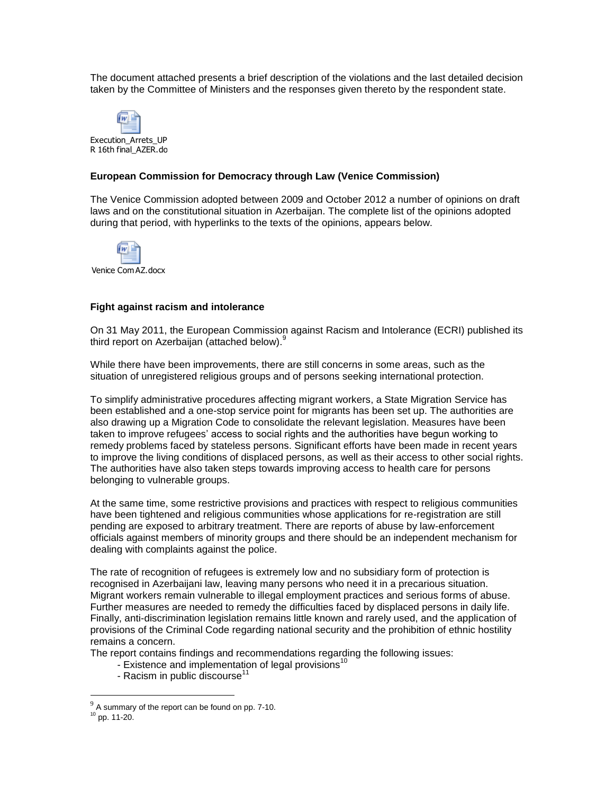The document attached presents a brief description of the violations and the last detailed decision taken by the Committee of Ministers and the responses given thereto by the respondent state.



## **European Commission for Democracy through Law (Venice Commission)**

The Venice Commission adopted between 2009 and October 2012 a number of opinions on draft laws and on the constitutional situation in Azerbaijan. The complete list of the opinions adopted during that period, with hyperlinks to the texts of the opinions, appears below.



Venice Com AZ.docx

### **Fight against racism and intolerance**

On 31 May 2011, the European Commission against Racism and Intolerance (ECRI) published its third report on Azerbaijan (attached below).<sup>9</sup>

While there have been improvements, there are still concerns in some areas, such as the situation of unregistered religious groups and of persons seeking international protection.

To simplify administrative procedures affecting migrant workers, a State Migration Service has been established and a one-stop service point for migrants has been set up. The authorities are also drawing up a Migration Code to consolidate the relevant legislation. Measures have been taken to improve refugees" access to social rights and the authorities have begun working to remedy problems faced by stateless persons. Significant efforts have been made in recent years to improve the living conditions of displaced persons, as well as their access to other social rights. The authorities have also taken steps towards improving access to health care for persons belonging to vulnerable groups.

At the same time, some restrictive provisions and practices with respect to religious communities have been tightened and religious communities whose applications for re-registration are still pending are exposed to arbitrary treatment. There are reports of abuse by law-enforcement officials against members of minority groups and there should be an independent mechanism for dealing with complaints against the police.

The rate of recognition of refugees is extremely low and no subsidiary form of protection is recognised in Azerbaijani law, leaving many persons who need it in a precarious situation. Migrant workers remain vulnerable to illegal employment practices and serious forms of abuse. Further measures are needed to remedy the difficulties faced by displaced persons in daily life. Finally, anti-discrimination legislation remains little known and rarely used, and the application of provisions of the Criminal Code regarding national security and the prohibition of ethnic hostility remains a concern.

The report contains findings and recommendations regarding the following issues:

- Existence and implementation of legal provisions<sup>10</sup>
- Racism in public discourse<sup>11</sup>

 $\frac{9}{9}$  A summary of the report can be found on pp. 7-10.

<sup>10</sup> pp. 11-20.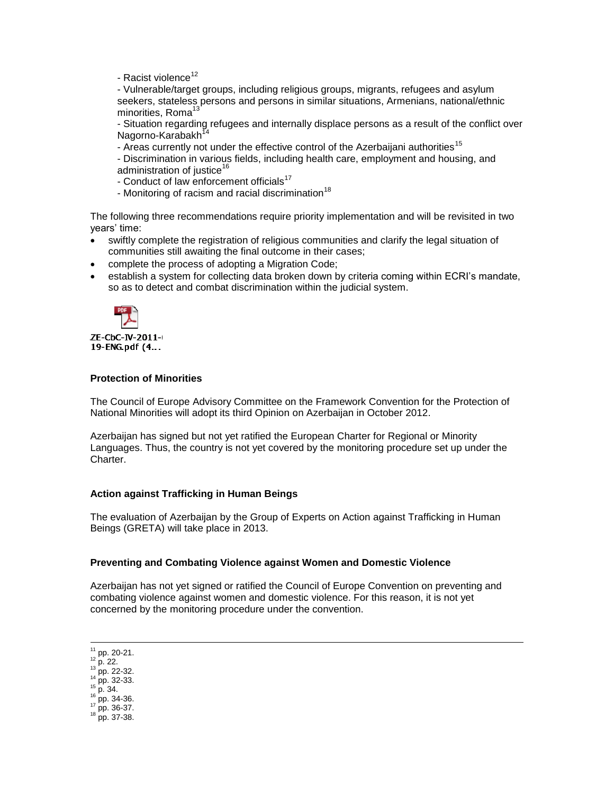- Racist violence $12$ 

- Vulnerable/target groups, including religious groups, migrants, refugees and asylum seekers, stateless persons and persons in similar situations, Armenians, national/ethnic minorities, Roma<sup>13</sup>

- Situation regarding refugees and internally displace persons as a result of the conflict over Nagorno-Karabakh<sup>1</sup>

- Areas currently not under the effective control of the Azerbaijani authorities<sup>15</sup>
- Discrimination in various fields, including health care, employment and housing, and administration of justice<sup>16</sup>
- Conduct of law enforcement officials<sup>17</sup>
- Monitoring of racism and racial discrimination<sup>18</sup>

The following three recommendations require priority implementation and will be revisited in two years' time:

- swiftly complete the registration of religious communities and clarify the legal situation of communities still awaiting the final outcome in their cases;
- complete the process of adopting a Migration Code;
- establish a system for collecting data broken down by criteria coming within ECRI's mandate, so as to detect and combat discrimination within the judicial system.



ZE-CbC-IV-2011-4 19-ENG.pdf (4...

## **Protection of Minorities**

The Council of Europe Advisory Committee on the Framework Convention for the Protection of National Minorities will adopt its third Opinion [on A](http://www.coe.int/t/dghl/monitoring/minorities/3_FCNMdocs/PDF_3rd_OP_CzechRepublic_en.pdf)zerbaijan in October 2012.

Azerbaijan has signed but not yet ratified the European Charter for Regional or Minority Languages. Thus, the country is not yet covered by the monitoring procedure set up under the **Charter** 

## **Action against Trafficking in Human Beings**

The evaluation of Azerbaijan by the Group of Experts on Action against Trafficking in Human Beings (GRETA) will take place in 2013.

## **Preventing and Combating Violence against Women and Domestic Violence**

Azerbaijan has not yet signed or ratified the Council of Europe Convention on preventing and combating violence against women and domestic violence. For this reason, it is not yet concerned by the monitoring procedure under the convention.

 $\overline{a}$  $11$  pp. 20-21.

 $12$  p. 22.

<sup>13</sup> pp. 22-32.

<sup>14</sup> pp. 32-33.

 $15$  p. 34. <sup>16</sup> pp. 34-36.

 $17$  pp. 36-37.

<sup>18</sup> pp. 37-38.